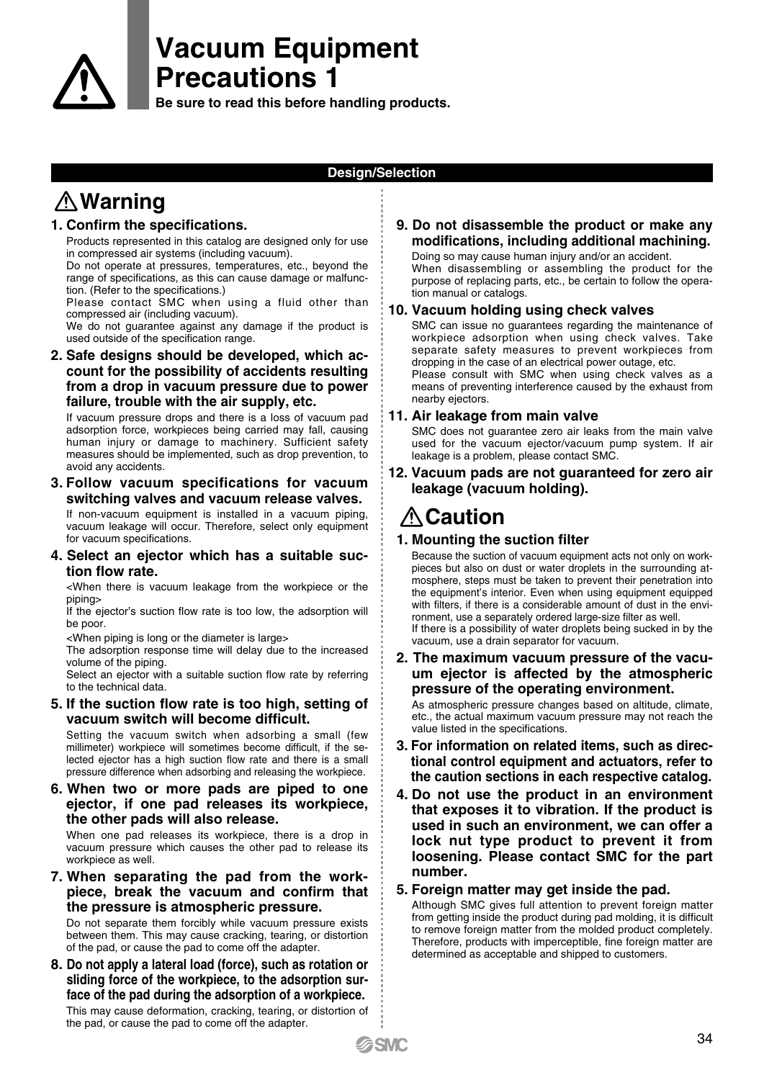

# **Vacuum Equipment Precautions 1**

**Be sure to read this before handling products.**

#### **Design/Selection**

# **Warning**

#### **1. Confirm the specifications.**

Products represented in this catalog are designed only for use in compressed air systems (including vacuum).

Do not operate at pressures, temperatures, etc., beyond the range of specifications, as this can cause damage or malfunction. (Refer to the specifications.)

Please contact SMC when using a fluid other than compressed air (including vacuum).

We do not guarantee against any damage if the product is used outside of the specification range.

#### **2. Safe designs should be developed, which account for the possibility of accidents resulting from a drop in vacuum pressure due to power failure, trouble with the air supply, etc.**

If vacuum pressure drops and there is a loss of vacuum pad adsorption force, workpieces being carried may fall, causing human injury or damage to machinery. Sufficient safety measures should be implemented, such as drop prevention, to avoid any accidents.

#### **3. Follow vacuum specifications for vacuum switching valves and vacuum release valves.**

If non-vacuum equipment is installed in a vacuum piping, vacuum leakage will occur. Therefore, select only equipment for vacuum specifications.

**4. Select an ejector which has a suitable suction flow rate.**

<When there is vacuum leakage from the workpiece or the piping>

If the ejector's suction flow rate is too low, the adsorption will be poor.

<When piping is long or the diameter is large>

The adsorption response time will delay due to the increased volume of the piping.

Select an ejector with a suitable suction flow rate by referring to the technical data.

**5. If the suction flow rate is too high, setting of vacuum switch will become difficult.**

Setting the vacuum switch when adsorbing a small (few millimeter) workpiece will sometimes become difficult, if the selected ejector has a high suction flow rate and there is a small pressure difference when adsorbing and releasing the workpiece.

**6. When two or more pads are piped to one ejector, if one pad releases its workpiece, the other pads will also release.**

When one pad releases its workpiece, there is a drop in vacuum pressure which causes the other pad to release its workpiece as well.

**7. When separating the pad from the workpiece, break the vacuum and confirm that the pressure is atmospheric pressure.**

Do not separate them forcibly while vacuum pressure exists between them. This may cause cracking, tearing, or distortion of the pad, or cause the pad to come off the adapter.

**8. Do not apply a lateral load (force), such as rotation or sliding force of the workpiece, to the adsorption surface of the pad during the adsorption of a workpiece.**

This may cause deformation, cracking, tearing, or distortion of the pad, or cause the pad to come off the adapter.

### **9. Do not disassemble the product or make any modifications, including additional machining.**

Doing so may cause human injury and/or an accident. When disassembling or assembling the product for the purpose of replacing parts, etc., be certain to follow the operation manual or catalogs.

#### **10. Vacuum holding using check valves**

SMC can issue no guarantees regarding the maintenance of workpiece adsorption when using check valves. Take separate safety measures to prevent workpieces from dropping in the case of an electrical power outage, etc.

Please consult with SMC when using check valves as a means of preventing interference caused by the exhaust from nearby ejectors.

### **11. Air leakage from main valve**

SMC does not guarantee zero air leaks from the main valve used for the vacuum ejector/vacuum pump system. If air leakage is a problem, please contact SMC.

**12. Vacuum pads are not guaranteed for zero air leakage (vacuum holding).**

## **∆Caution**

### **1. Mounting the suction filter**

Because the suction of vacuum equipment acts not only on workpieces but also on dust or water droplets in the surrounding atmosphere, steps must be taken to prevent their penetration into the equipment's interior. Even when using equipment equipped with filters, if there is a considerable amount of dust in the environment, use a separately ordered large-size filter as well. If there is a possibility of water droplets being sucked in by the vacuum, use a drain separator for vacuum.

#### **2. The maximum vacuum pressure of the vacuum ejector is affected by the atmospheric pressure of the operating environment.**

As atmospheric pressure changes based on altitude, climate, etc., the actual maximum vacuum pressure may not reach the value listed in the specifications.

- **3. For information on related items, such as directional control equipment and actuators, refer to the caution sections in each respective catalog.**
- **4. Do not use the product in an environment that exposes it to vibration. If the product is used in such an environment, we can offer a lock nut type product to prevent it from loosening. Please contact SMC for the part number.**

#### **5. Foreign matter may get inside the pad.**

Although SMC gives full attention to prevent foreign matter from getting inside the product during pad molding, it is difficult to remove foreign matter from the molded product completely. Therefore, products with imperceptible, fine foreign matter are determined as acceptable and shipped to customers.

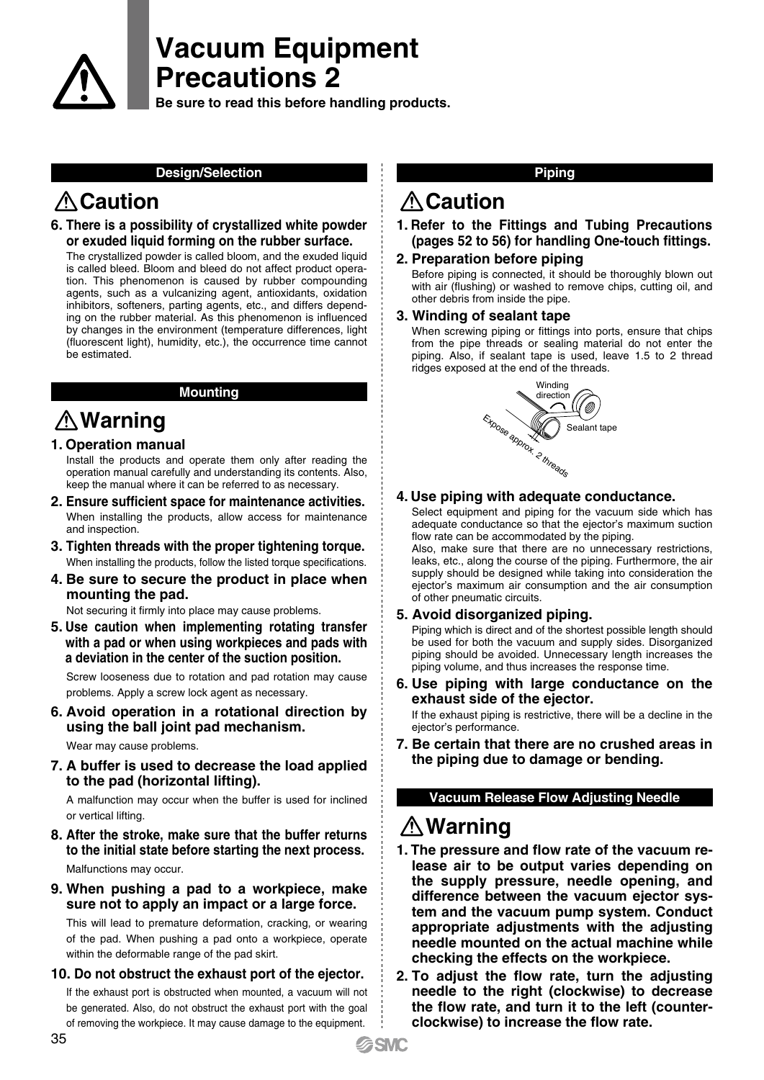

# **Vacuum Equipment Precautions 2**

**Be sure to read this before handling products.**

#### **Design/Selection Piping**

# **A** Caution **Caution**

### **6. There is a possibility of crystallized white powder or exuded liquid forming on the rubber surface.**

The crystallized powder is called bloom, and the exuded liquid is called bleed. Bloom and bleed do not affect product operation. This phenomenon is caused by rubber compounding agents, such as a vulcanizing agent, antioxidants, oxidation inhibitors, softeners, parting agents, etc., and differs depending on the rubber material. As this phenomenon is influenced by changes in the environment (temperature differences, light (fluorescent light), humidity, etc.), the occurrence time cannot be estimated.

#### **Mounting**

# **Warning**

### **1. Operation manual**

Install the products and operate them only after reading the operation manual carefully and understanding its contents. Also, keep the manual where it can be referred to as necessary.

- **2. Ensure sufficient space for maintenance activities.** When installing the products, allow access for maintenance and inspection.
- **3. Tighten threads with the proper tightening torque.** When installing the products, follow the listed torque specifications.
- **4. Be sure to secure the product in place when mounting the pad.**

Not securing it firmly into place may cause problems.

**5. Use caution when implementing rotating transfer with a pad or when using workpieces and pads with a deviation in the center of the suction position.**

Screw looseness due to rotation and pad rotation may cause problems. Apply a screw lock agent as necessary.

**6. Avoid operation in a rotational direction by using the ball joint pad mechanism.**

Wear may cause problems.

**7. A buffer is used to decrease the load applied to the pad (horizontal lifting).**

A malfunction may occur when the buffer is used for inclined or vertical lifting.

**8. After the stroke, make sure that the buffer returns to the initial state before starting the next process.**

Malfunctions may occur.

**9. When pushing a pad to a workpiece, make sure not to apply an impact or a large force.**

This will lead to premature deformation, cracking, or wearing of the pad. When pushing a pad onto a workpiece, operate within the deformable range of the pad skirt.

#### **10. Do not obstruct the exhaust port of the ejector.**

If the exhaust port is obstructed when mounted, a vacuum will not be generated. Also, do not obstruct the exhaust port with the goal of removing the workpiece. It may cause damage to the equipment.

#### **1. Refer to the Fittings and Tubing Precautions (pages 52 to 56) for handling One-touch fittings.**

#### **2. Preparation before piping**

Before piping is connected, it should be thoroughly blown out with air (flushing) or washed to remove chips, cutting oil, and other debris from inside the pipe.

#### **3. Winding of sealant tape**

When screwing piping or fittings into ports, ensure that chips from the pipe threads or sealing material do not enter the piping. Also, if sealant tape is used, leave 1.5 to 2 thread ridges exposed at the end of the threads.



#### **4. Use piping with adequate conductance.**

Select equipment and piping for the vacuum side which has adequate conductance so that the ejector's maximum suction flow rate can be accommodated by the piping.

Also, make sure that there are no unnecessary restrictions, leaks, etc., along the course of the piping. Furthermore, the air supply should be designed while taking into consideration the ejector's maximum air consumption and the air consumption of other pneumatic circuits.

#### **5. Avoid disorganized piping.**

Piping which is direct and of the shortest possible length should be used for both the vacuum and supply sides. Disorganized piping should be avoided. Unnecessary length increases the piping volume, and thus increases the response time.

**6. Use piping with large conductance on the exhaust side of the ejector.**

If the exhaust piping is restrictive, there will be a decline in the ejector's performance.

**7. Be certain that there are no crushed areas in the piping due to damage or bending.**

#### **Vacuum Release Flow Adjusting Needle**

## **Warning**

- **1. The pressure and flow rate of the vacuum release air to be output varies depending on the supply pressure, needle opening, and difference between the vacuum ejector system and the vacuum pump system. Conduct appropriate adjustments with the adjusting needle mounted on the actual machine while checking the effects on the workpiece.**
- **2. To adjust the flow rate, turn the adjusting needle to the right (clockwise) to decrease the flow rate, and turn it to the left (counterclockwise) to increase the flow rate.**